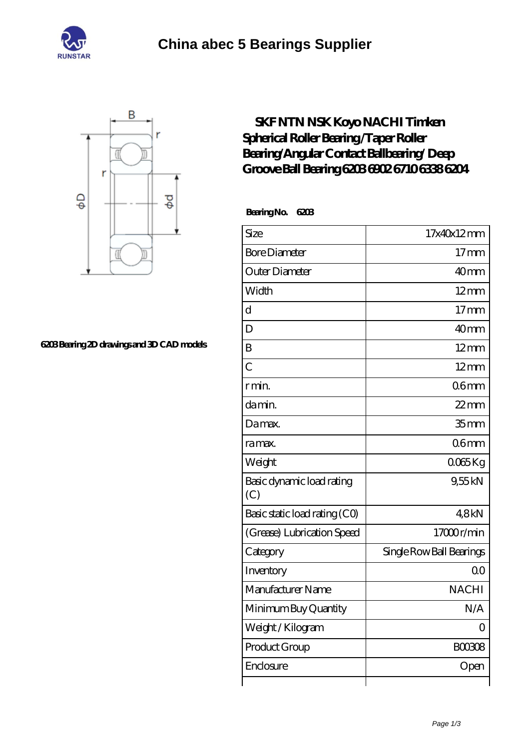



## **[6203 Bearing 2D drawings and 3D CAD models](https://njvti.org/pic-65276325.html)**

## **[SKF NTN NSK Koyo NACHI Timken](https://njvti.org/nsk-6902-bearing/nachi-6203.html) [Spherical Roller Bearing /Taper Roller](https://njvti.org/nsk-6902-bearing/nachi-6203.html) [Bearing/Angular Contact Ballbearing/ Deep](https://njvti.org/nsk-6902-bearing/nachi-6203.html) [Groove Ball Bearing 6203 6902 6710 6338 6204](https://njvti.org/nsk-6902-bearing/nachi-6203.html)**

 **Bearing No. 6203**

| Size                             | 17x40x12mm               |
|----------------------------------|--------------------------|
| <b>Bore Diameter</b>             | 17 <sub>mm</sub>         |
| Outer Diameter                   | 40 <sub>mm</sub>         |
| Width                            | $12 \text{mm}$           |
| $\overline{d}$                   | 17 <sub>mm</sub>         |
| D                                | 40 <sub>mm</sub>         |
| B                                | $12 \text{mm}$           |
| $\overline{C}$                   | $12 \text{mm}$           |
| r min.                           | 06 <sub>mm</sub>         |
| damin.                           | $22$ mm                  |
| Da max.                          | 35 <sub>mm</sub>         |
| ra max.                          | 06 <sub>mm</sub>         |
| Weight                           | $0065$ Kg                |
| Basic dynamic load rating<br>(C) | 955kN                    |
| Basic static load rating (CO)    | 48kN                     |
| (Grease) Lubrication Speed       | 17000r/min               |
| Category                         | Single Row Ball Bearings |
| Inventory                        | 0 <sup>0</sup>           |
| Manufacturer Name                | <b>NACHI</b>             |
| Minimum Buy Quantity             | N/A                      |
| Weight / Kilogram                | $\Omega$                 |
| Product Group                    | <b>BOO3O8</b>            |
| Enclosure                        | Open                     |
|                                  |                          |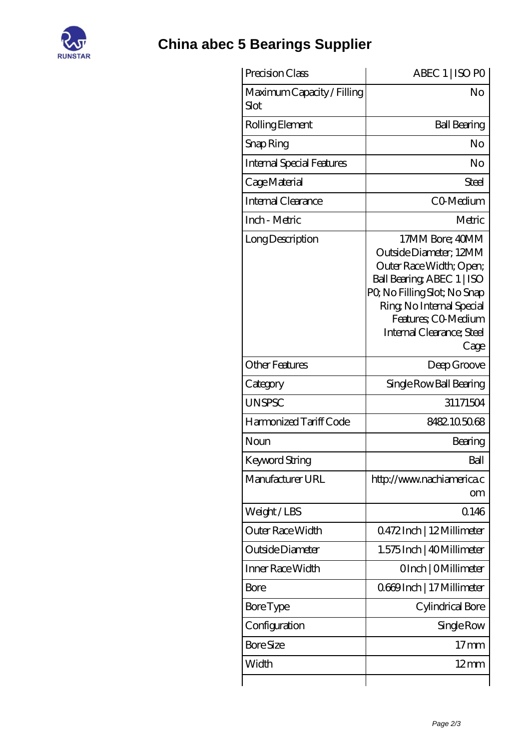

## **[China abec 5 Bearings Supplier](https://njvti.org)**

| Precision Class                    | ABEC 1   ISO PO                                                                                                                                                                                                            |
|------------------------------------|----------------------------------------------------------------------------------------------------------------------------------------------------------------------------------------------------------------------------|
| Maximum Capacity / Filling<br>Slot | No                                                                                                                                                                                                                         |
| Rolling Element                    | <b>Ball Bearing</b>                                                                                                                                                                                                        |
| Snap Ring                          | No                                                                                                                                                                                                                         |
| Internal Special Features          | No                                                                                                                                                                                                                         |
| Cage Material                      | Steel                                                                                                                                                                                                                      |
| Internal Clearance                 | CO-Medium                                                                                                                                                                                                                  |
| Inch - Metric                      | Metric                                                                                                                                                                                                                     |
| Long Description                   | 17MM Bore; 40MM<br>Outside Diameter; 12MM<br>Outer Race Width; Open;<br>Ball Bearing, ABEC 1   ISO<br>PQ No Filling Slot; No Snap<br>Ring, No Internal Special<br>Features; CO-Medium<br>Internal Clearance; Steel<br>Cage |
| <b>Other Features</b>              | Deep Groove                                                                                                                                                                                                                |
| Category                           | Single Row Ball Bearing                                                                                                                                                                                                    |
| <b>UNSPSC</b>                      | 31171504                                                                                                                                                                                                                   |
| Harmonized Tariff Code             | 8482.105068                                                                                                                                                                                                                |
| Noun                               | Bearing                                                                                                                                                                                                                    |
| Keyword String                     | Ball                                                                                                                                                                                                                       |
| Manufacturer URL                   | http://www.nachiamerica.c<br>om                                                                                                                                                                                            |
| Weight/LBS                         | Q146                                                                                                                                                                                                                       |
| Outer Race Width                   | 0472Inch   12Millimeter                                                                                                                                                                                                    |
| Outside Diameter                   | 1.575 Inch   40 Millimeter                                                                                                                                                                                                 |
| Inner Race Width                   | OInch   OMillimeter                                                                                                                                                                                                        |
| Bore                               | Q669Inch   17 Millimeter                                                                                                                                                                                                   |
| <b>Bore Type</b>                   | Cylindrical Bore                                                                                                                                                                                                           |
| Configuration                      | Single Row                                                                                                                                                                                                                 |
| <b>Bore Size</b>                   | 17 <sub>mm</sub>                                                                                                                                                                                                           |
| Width                              | $12 \text{mm}$                                                                                                                                                                                                             |
|                                    |                                                                                                                                                                                                                            |